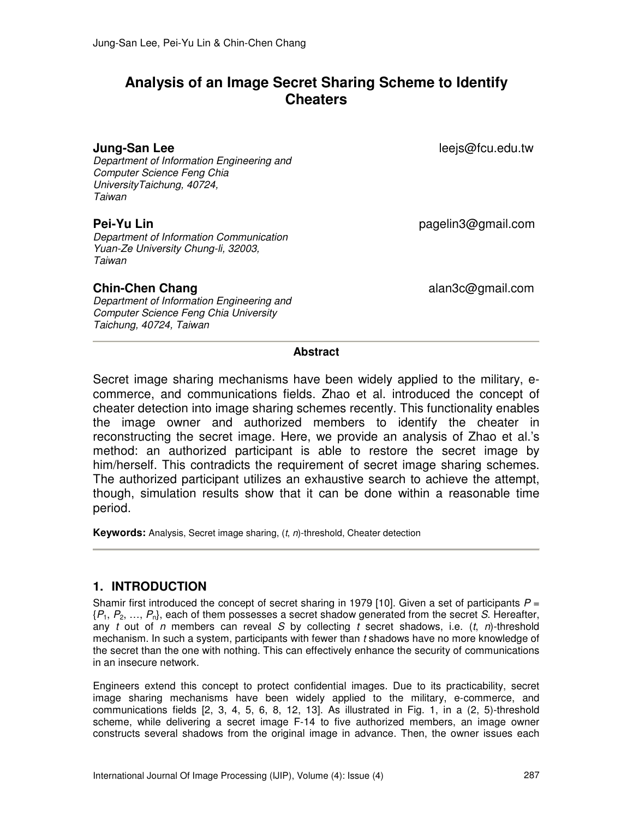# **Analysis of an Image Secret Sharing Scheme to Identify Cheaters**

#### **Jung-San Lee lee**js@fcu.edu.tw

Department of Information Engineering and Computer Science Feng Chia UniversityTaichung, 40724, Taiwan

Department of Information Communication Yuan-Ze University Chung-li, 32003, Taiwan

Department of Information Engineering and Computer Science Feng Chia University Taichung, 40724, Taiwan

**Pei-Yu Lin** pagelin3@gmail.com

**Chin-Chen Chang alan3c@gmail.com** 

#### **Abstract**

Secret image sharing mechanisms have been widely applied to the military, ecommerce, and communications fields. Zhao et al. introduced the concept of cheater detection into image sharing schemes recently. This functionality enables the image owner and authorized members to identify the cheater in reconstructing the secret image. Here, we provide an analysis of Zhao et al.'s method: an authorized participant is able to restore the secret image by him/herself. This contradicts the requirement of secret image sharing schemes. The authorized participant utilizes an exhaustive search to achieve the attempt, though, simulation results show that it can be done within a reasonable time period.

**Keywords:** Analysis, Secret image sharing, (t, n)-threshold, Cheater detection

#### **1. INTRODUCTION**

Shamir first introduced the concept of secret sharing in 1979 [10]. Given a set of participants  $P =$  $\{P_1, P_2, ..., P_n\}$ , each of them possesses a secret shadow generated from the secret S. Hereafter, any t out of n members can reveal S by collecting t secret shadows, i.e.  $(t, n)$ -threshold mechanism. In such a system, participants with fewer than t shadows have no more knowledge of the secret than the one with nothing. This can effectively enhance the security of communications in an insecure network.

Engineers extend this concept to protect confidential images. Due to its practicability, secret image sharing mechanisms have been widely applied to the military, e-commerce, and communications fields [2, 3, 4, 5, 6, 8, 12, 13]. As illustrated in Fig. 1, in a (2, 5)-threshold scheme, while delivering a secret image F-14 to five authorized members, an image owner constructs several shadows from the original image in advance. Then, the owner issues each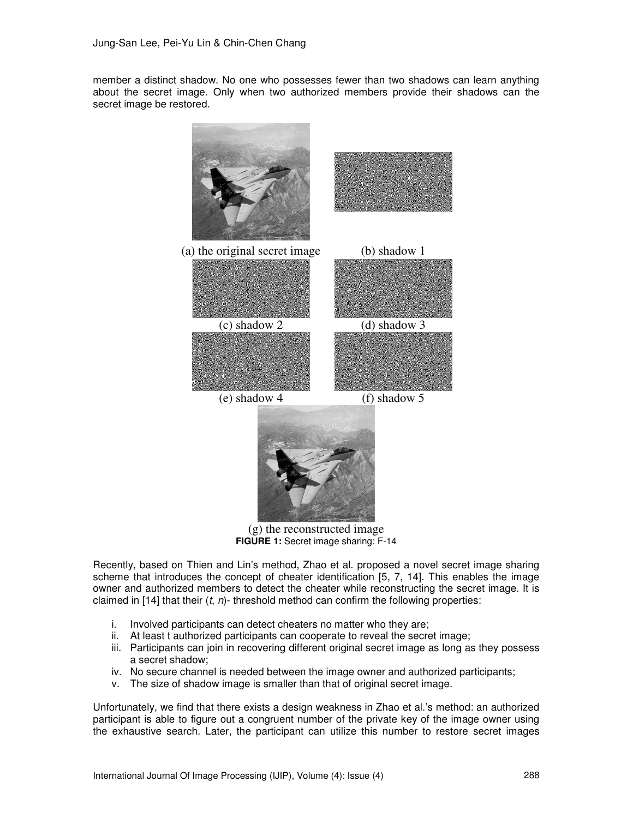member a distinct shadow. No one who possesses fewer than two shadows can learn anything about the secret image. Only when two authorized members provide their shadows can the secret image be restored.



(g) the reconstructed image **FIGURE 1:** Secret image sharing: F-14

Recently, based on Thien and Lin's method, Zhao et al. proposed a novel secret image sharing scheme that introduces the concept of cheater identification [5, 7, 14]. This enables the image owner and authorized members to detect the cheater while reconstructing the secret image. It is claimed in [14] that their  $(t, n)$ - threshold method can confirm the following properties:

- i. Involved participants can detect cheaters no matter who they are;
- ii. At least t authorized participants can cooperate to reveal the secret image;
- iii. Participants can join in recovering different original secret image as long as they possess a secret shadow;
- iv. No secure channel is needed between the image owner and authorized participants;
- v. The size of shadow image is smaller than that of original secret image.

Unfortunately, we find that there exists a design weakness in Zhao et al.'s method: an authorized participant is able to figure out a congruent number of the private key of the image owner using the exhaustive search. Later, the participant can utilize this number to restore secret images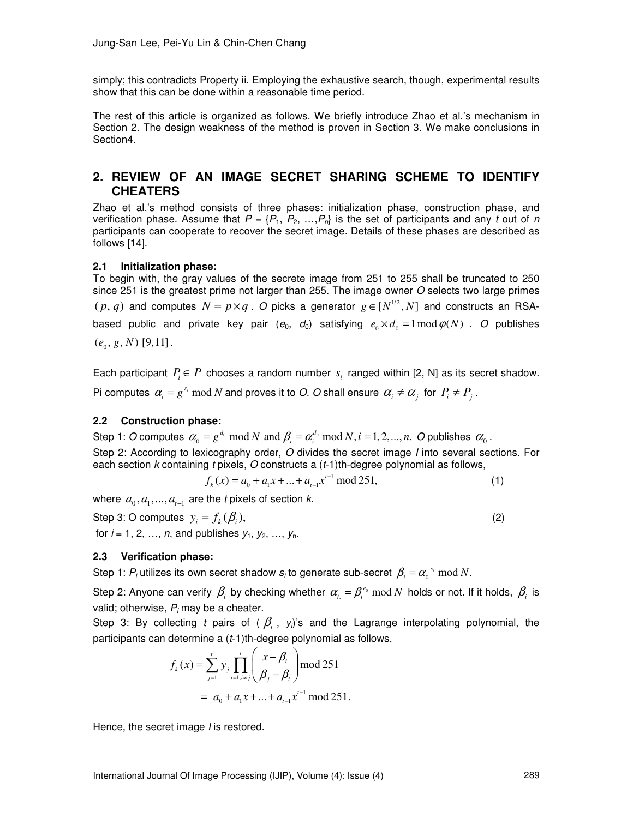simply; this contradicts Property ii. Employing the exhaustive search, though, experimental results show that this can be done within a reasonable time period.

The rest of this article is organized as follows. We briefly introduce Zhao et al.'s mechanism in Section 2. The design weakness of the method is proven in Section 3. We make conclusions in Section4.

### **2. REVIEW OF AN IMAGE SECRET SHARING SCHEME TO IDENTIFY CHEATERS**

Zhao et al.'s method consists of three phases: initialization phase, construction phase, and verification phase. Assume that  $P = \{P_1, P_2, ..., P_n\}$  is the set of participants and any t out of n participants can cooperate to recover the secret image. Details of these phases are described as follows [14].

#### **2.1 Initialization phase:**

To begin with, the gray values of the secrete image from 251 to 255 shall be truncated to 250 since 251 is the greatest prime not larger than 255. The image owner O selects two large primes  $(p, q)$  and computes  $N = p \times q$ . O picks a generator  $g \in [N^{1/2}, N]$  and constructs an RSAbased public and private key pair  $(e_0, d_0)$  satisfying  $e_0 \times d_0 = 1 \mod \varphi(N)$ . O publishes  $(e_0, g, N)$  [9,11].

Each participant  $P_i \in P$  chooses a random number  $s_i$  ranged within [2, N] as its secret shadow. Pi computes  $\alpha_i = g^{s_i} \mod N$  and proves it to O. O shall ensure  $\alpha_i \neq \alpha_j$  for  $P_i \neq P_j$ .

#### **2.2 Construction phase:**

Step 1: O computes  $\alpha_0 = g^{d_0} \mod N$  and  $\beta_i = \alpha_i^{d_0} \mod N$ ,  $i = 1, 2, ..., n$ . O publishes  $\alpha_0$ . Step 2: According to lexicography order, O divides the secret image *I* into several sections. For each section  $k$  containing  $t$  pixels,  $O$  constructs a  $(t-1)$ th-degree polynomial as follows,

$$
f_k(x) = a_0 + a_1 x + \dots + a_{t-1} x^{t-1} \mod 251,\tag{1}
$$

where  $a_0, a_1, ..., a_{t-1}$  are the t pixels of section k.

Step 3: O computes  $y_i = f_k(\beta_i)$ , (2) for  $i = 1, 2, ..., n$ , and publishes  $y_1, y_2, ..., y_n$ .

#### **2.3 Verification phase:**

Step 1:  $P_i$  utilizes its own secret shadow  $s_i$  to generate sub-secret  $\beta_i = \alpha_0^{s_i} \mod N$ .

Step 2: Anyone can verify  $\beta_i$  by checking whether  $\alpha_{i}=\beta_i^{e_0}\bmod N$  holds or not. If it holds,  $\beta_i$  is valid; otherwise,  $P_i$  may be a cheater.

Step 3: By collecting t pairs of  $(\beta_i, y_i)$ 's and the Lagrange interpolating polynomial, the participants can determine a (t-1)th-degree polynomial as follows,

$$
f_k(x) = \sum_{j=1}^t y_j \prod_{i=1, i \neq j}^t \left( \frac{x - \beta_i}{\beta_j - \beta_i} \right) \text{mod } 251
$$
  
=  $a_0 + a_1 x + ... + a_{t-1} x^{t-1} \text{ mod } 251.$ 

Hence, the secret image *I* is restored.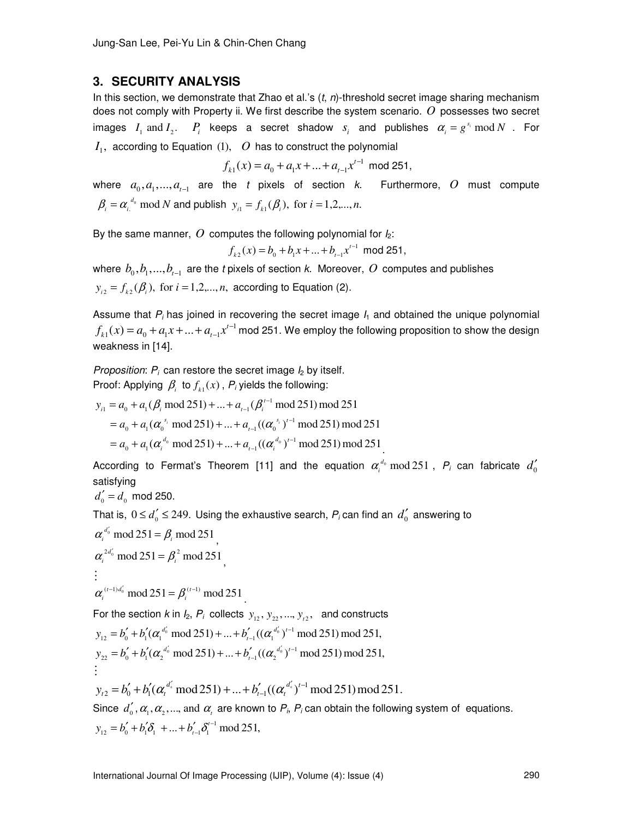#### **3. SECURITY ANALYSIS**

In this section, we demonstrate that Zhao et al.'s  $(t, n)$ -threshold secret image sharing mechanism does not comply with Property ii. We first describe the system scenario. *O* possesses two secret images  $I_1$  and  $I_2$ .  $P_i$  keeps a secret shadow  $s_i$  and publishes  $\alpha_i = g^{s_i} \mod N$  . For  $I_1$ , according to Equation  $(1)$ ,  $O$  has to construct the polynomial

$$
f_{k1}(x) = a_0 + a_1 x + \dots + a_{t-1} x^{t-1} \mod 251,
$$

where  $a_0, a_1, ..., a_{t-1}$  are the t pixels of section k. Furthermore, O must compute  $\beta_i = \alpha_i^{d_0} \text{ mod } N$  and publish  $y_{i1} = f_{k1}(\beta_i)$ , for  $i = 1,2,...,n$ .

By the same manner,  $O$  computes the following polynomial for  $I_2$ :

$$
f_{k2}(x) = b_0 + b_1 x + \dots + b_{t-1} x^{t-1} \text{ mod } 251,
$$

where  $b_0, b_1, ..., b_{t-1}$  are the t pixels of section k. Moreover,  $O$  computes and publishes  $y_{i2} = f_{i2}(\beta_i)$ , for  $i = 1,2,...,n$ , according to Equation (2).

Assume that  $P_i$  has joined in recovering the secret image  $I_1$  and obtained the unique polynomial  $f_{k1}(x) = a_0 + a_1 x + ... + a_{t-1} x^{t-1}$  mod 251. We employ the following proposition to show the design weakness in [14].

Proposition:  $P_i$  can restore the secret image  $I_2$  by itself. Proof: Applying  $\beta_i$  to  $f_{k1}(x)$ ,  $P_i$  yields the following:

$$
y_{i1} = a_0 + a_1(\beta_i \mod 251) + ... + a_{t-1}(\beta_i^{t-1} \mod 251) \mod 251
$$
  
=  $a_0 + a_1(\alpha_0^{s_i} \mod 251) + ... + a_{t-1}((\alpha_0^{s_i})^{t-1} \mod 251) \mod 251$   
=  $a_0 + a_1(\alpha_i^{d_0} \mod 251) + ... + a_{t-1}((\alpha_i^{d_0})^{t-1} \mod 251) \mod 251$ .

According to Fermat's Theorem [11] and the equation  $\alpha_i^{d_0}$  mod 251,  $P_i$  can fabricate  $d_0'$ satisfying

$$
d_0' = d_0 \mod 250.
$$

That is,  $0 \le d_0' \le 249$ . Using the exhaustive search,  $P_i$  can find an  $d_0'$  answering to

$$
\alpha_i^{d'_0} \mod 251 = \beta_i \mod 251
$$
\n
$$
\alpha_i^{2d'_0} \mod 251 = \beta_i^2 \mod 251
$$
\n
$$
\vdots
$$
\n
$$
\alpha_i^{(t-1)d'_0} \mod 251 = \beta_i^{(t-1)} \mod 251
$$
\nFor the section *k* in *I\_2*, *P\_i* collects *y*<sub>12</sub>, *y*<sub>22</sub>, ..., *y*<sub>t2</sub>, and constructs\n
$$
y_{12} = b'_0 + b'_1 (\alpha_i^{d'_0} \mod 251) + ... + b'_{t-1} ((\alpha_i^{d'_0})^{t-1} \mod 251) \mod 251,
$$
\n
$$
y_{22} = b'_0 + b'_1 (\alpha_2^{d'_0} \mod 251) + ... + b'_{t-1} ((\alpha_2^{d'_0})^{t-1} \mod 251) \mod 251,
$$
\n
$$
\vdots
$$
\n
$$
y_{t2} = b'_0 + b'_1 (\alpha_i^{d'_0} \mod 251) + ... + b'_{t-1} ((\alpha_i^{d'_0})^{t-1} \mod 251) \mod 251.
$$
\nSince  $d'_0$ ,  $\alpha_1$ ,  $\alpha_2$ , ..., and  $\alpha_t$  are known to *P\_i*, *P\_i* can obtain the following system of equations.\n
$$
y_{12} = b'_0 + b'_1 \delta_1^2 + ... + b'_{t-1} \delta_1^{t-1} \mod 251,
$$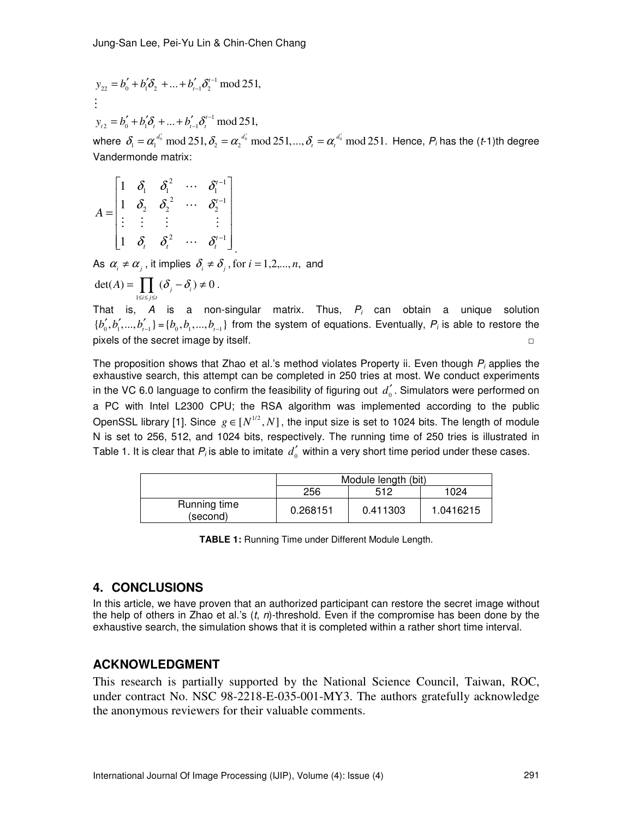$$
y_{22} = b'_0 + b'_1 \delta_2 + \dots + b'_{t-1} \delta_2^{t-1} \mod 251,
$$
  
...

 $y_{t2} = b_0' + b_1' \delta_t + ... + b_{t-1}' \delta_t'^{-1} \mod 251,$  $= b'_0 + b'_1 \delta_1 + \dots + b'_n$ 

where  $\delta_i = \alpha_1^{d'_0} \mod 251$ ,  $\delta_2 = \alpha_2^{d'_0} \mod 251$ , ...,  $\delta_i = \alpha_i^{d'_0} \mod 251$ . Hence,  $P_i$  has the (*t*-1)th degree Vandermonde matrix:

$$
A = \begin{bmatrix} 1 & \delta_1 & \delta_1^2 & \cdots & \delta_1^{t-1} \\ 1 & \delta_2 & \delta_2^2 & \cdots & \delta_2^{t-1} \\ \vdots & \vdots & \vdots & & \vdots \\ 1 & \delta_t & \delta_t^2 & \cdots & \delta_t^{t-1} \end{bmatrix}
$$

As  $\alpha_i \neq \alpha_j$ , it implies  $\delta_i \neq \delta_j$ , for  $i = 1,2,...,n$ , and

$$
\det(A) = \prod_{1 \le i \le j \le t} (\delta_j - \delta_i) \neq 0.
$$

That is, A is a non-singular matrix. Thus,  $P_i$  can obtain a unique solution  $\{b'_0, b'_1, ..., b'_{t-1}\} = \{b_0, b_1, ..., b_{t-1}\}\}$  from the system of equations. Eventually,  $P_i$  is able to restore the pixels of the secret image by itself.

The proposition shows that Zhao et al.'s method violates Property ii. Even though  $P_i$  applies the exhaustive search, this attempt can be completed in 250 tries at most. We conduct experiments in the VC 6.0 language to confirm the feasibility of figuring out  $d_0^{'}$ . Simulators were performed on a PC with Intel L2300 CPU; the RSA algorithm was implemented according to the public OpenSSL library [1]. Since  $g \in [N^{1/2}, N]$ , the input size is set to 1024 bits. The length of module N is set to 256, 512, and 1024 bits, respectively. The running time of 250 tries is illustrated in Table 1. It is clear that  $P_i$  is able to imitate  $d'_0$  within a very short time period under these cases.

|                          | Module length (bit) |          |           |
|--------------------------|---------------------|----------|-----------|
|                          | 256                 | 512      | 1024      |
| Running time<br>(second) | 0.268151            | 0.411303 | 1.0416215 |

**TABLE 1:** Running Time under Different Module Length.

## **4. CONCLUSIONS**

In this article, we have proven that an authorized participant can restore the secret image without the help of others in Zhao et al.'s  $(t, n)$ -threshold. Even if the compromise has been done by the exhaustive search, the simulation shows that it is completed within a rather short time interval.

# **ACKNOWLEDGMENT**

This research is partially supported by the National Science Council, Taiwan, ROC, under contract No. NSC 98-2218-E-035-001-MY3. The authors gratefully acknowledge the anonymous reviewers for their valuable comments.